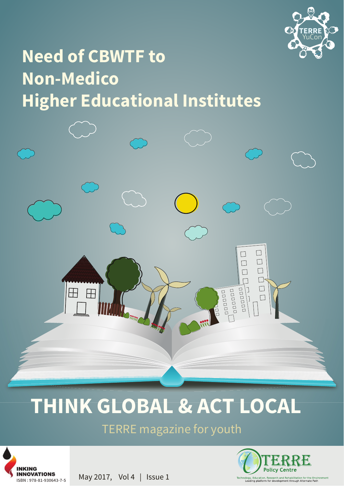

## **Need of CBWTF to Non-Medico Higher Educational Institutes**



# **THINK GLOBAL & ACT LOCAL**

TERRE magazine for youth



May 2017, Vol 4 | Issue 1

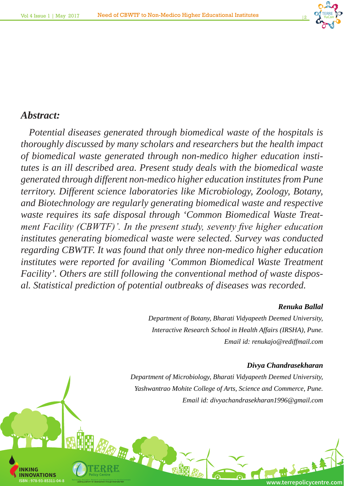

### *Abstract:*

**INKING**

**VATIONS** 

HAR AN ST

*Potential diseases generated through biomedical waste of the hospitals is thoroughly discussed by many scholars and researchers but the health impact of biomedical waste generated through non-medico higher education institutes is an ill described area. Present study deals with the biomedical waste generated through different non-medico higher education institutes from Pune territory. Different science laboratories like Microbiology, Zoology, Botany, and Biotechnology are regularly generating biomedical waste and respective waste requires its safe disposal through 'Common Biomedical Waste Treatment Facility (CBWTF)'. In the present study, seventy five higher education institutes generating biomedical waste were selected. Survey was conducted regarding CBWTF. It was found that only three non-medico higher education institutes were reported for availing 'Common Biomedical Waste Treatment Facility'. Others are still following the conventional method of waste disposal. Statistical prediction of potential outbreaks of diseases was recorded.* 

#### *Renuka Ballal*

*Department of Botany, Bharati Vidyapeeth Deemed University, Interactive Research School in Health Affairs (IRSHA), Pune. Email id: renukajo@rediffmail.com*

#### *Divya Chandrasekharan*

*Department of Microbiology, Bharati Vidyapeeth Deemed University, Yashwantrao Mohite College of Arts, Science and Commerce, Pune. Email id: divyachandrasekharan1996@gmail.com*

ISBN : 978-93-85311-04-8 **WWW.terrepolicyCentre.com**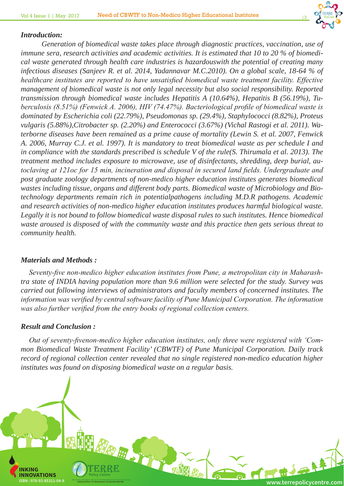

#### *Introduction:*

*Generation of biomedical waste takes place through diagnostic practices, vaccination, use of immune sera, research activities and academic activities. It is estimated that 10 to 20 % of biomedical waste generated through health care industries is hazardouswith the potential of creating many infectious diseases (Sanjeev R. et al. 2014, Yadannavar M.C.2010). On a global scale, 18-64 % of healthcare institutes are reported to have unsatisfied biomedical waste treatment facility. Effective management of biomedical waste is not only legal necessity but also social responsibility. Reported transmission through biomedical waste includes Hepatitis A (10.64%), Hepatitis B (56.19%), Tuberculosis (8.51%) (Fenwick A. 2006), HIV (74.47%). Bacteriological profile of biomedical waste is dominated by Escherichia coli (22.79%), Pseudomonas sp. (29.4%), Staphylococci (8.82%), Proteus vulgaris (5.88%),Citrobacter sp. (2.20%) and Enterococci (3.67%) (Vichal Rastogi et al. 2011). Waterborne diseases have been remained as a prime cause of mortality (Lewin S. et al. 2007, Fenwick A. 2006, Murray C.J. et al. 1997). It is mandatory to treat biomedical waste as per schedule I and in compliance with the standards prescribed is schedule V of the rule(S. Thirumala et al. 2013). The treatment method includes exposure to microwave, use of disinfectants, shredding, deep burial, autoclaving at 121oc for 15 min, incineration and disposal in secured land fields. Undergraduate and post graduate zoology departments of non-medico higher education institutes generates biomedical wastes including tissue, organs and different body parts. Biomedical waste of Microbiology and Biotechnology departments remain rich in potentialpathogens including M.D.R pathogens. Academic and research activities of non-medico higher education institutes produces harmful biological waste. Legally it is not bound to follow biomedical waste disposal rules to such institutes. Hence biomedical waste aroused is disposed of with the community waste and this practice then gets serious threat to community health.*

#### *Materials and Methods :*

*Seventy-five non-medico higher education institutes from Pune, a metropolitan city in Maharashtra state of INDIA having population more than 9.6 million were selected for the study. Survey was carried out following interviews of administrators and faculty members of concerned institutes. The information was verified by central software facility of Pune Municipal Corporation. The information was also further verified from the entry books of regional collection centers.*

#### *Result and Conclusion :*

*Out of seventy-fivenon-medico higher education institutes, only three were registered with 'Common Biomedical Waste Treatment Facility' (CBWTF) of Pune Municipal Corporation. Daily track record of regional collection center revealed that no single registered non-medico education higher institutes was found on disposing biomedical waste on a regular basis.*

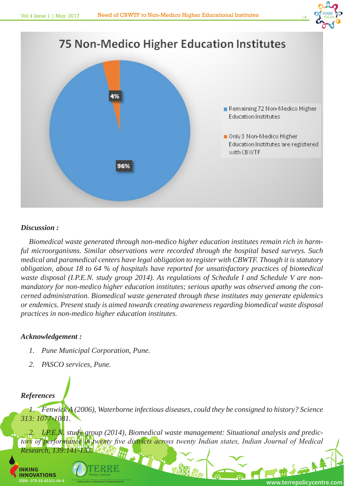



#### *Discussion :*

*Biomedical waste generated through non-medico higher education institutes remain rich in harmful microorganisms. Similar observations were recorded through the hospital based surveys. Such medical and paramedical centers have legal obligation to register with CBWTF. Though it is statutory obligation, about 18 to 64 % of hospitals have reported for unsatisfactory practices of biomedical waste disposal (I.P.E.N. study group 2014). As regulations of Schedule I and Schedule V are nonmandatory for non-medico higher education institutes; serious apathy was observed among the concerned administration. Biomedical waste generated through these institutes may generate epidemics or endemics. Present study is aimed towards creating awareness regarding biomedical waste disposal practices in non-medico higher education institutes.*

#### *Acknowledgement :*

- *1. Pune Municipal Corporation, Pune.*
- *2. PASCO services, Pune.*

#### *References*

*1. Fenwick A (2006), Waterborne infectious diseases, could they be consigned to history? Science 313: 1077-1081.*

2. I.P.E.N. study group (2014), Biomedical waste management: Situational analysis and predictors of performance in twenty five districts across twenty Indian states, Indian Journal of Medical *Research, 139:14* **出了了。** 

"一個開

**INKING INNOVATIONS**



ISBN : 978-93-85311-04-8 **WWW.terrepolicyCentre.com**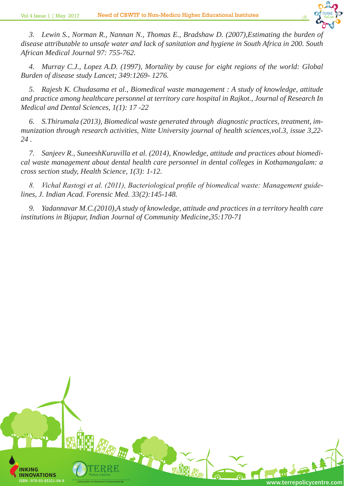

3. Lewin S., Norman R., Nannan N., Thomas E., Bradshaw D. (2007), Estimating the burden of *disease attributable to unsafe water and lack of sanitation and hygiene in South Africa in 200. South African Medical Journal 97: 755-762.* 

*4. Murray C.J., Lopez A.D. (1997), Mortality by cause for eight regions of the world: Global Burden of disease study Lancet; 349:1269- 1276.*

*5. Rajesh K. Chudasama et al., Biomedical waste management : A study of knowledge, attitude and practice among healthcare personnel at territory care hospital in Rajkot., Journal of Research In Medical and Dental Sciences, 1(1): 17 -22*

*6. S.Thirumala (2013), Biomedical waste generated through diagnostic practices, treatment, immunization through research activities, Nitte University journal of health sciences,vol.3, issue 3,22- 24 .*

*7. Sanjeev R., SuneeshKuruvilla et al. (2014), Knowledge, attitude and practices about biomedical waste management about dental health care personnel in dental colleges in Kothamangalam: a cross section study, Health Science, 1(3): 1-12.*

*8. Vichal Rastogi et al. (2011), Bacteriological profile of biomedical waste: Management guidelines, J. Indian Acad. Forensic Med. 33(2):145-148.*

*9. Yadannavar M.C.(2010),A study of knowledge, attitude and practices in a territory health care institutions in Bijapur, Indian Journal of Community Medicine,35:170-71*